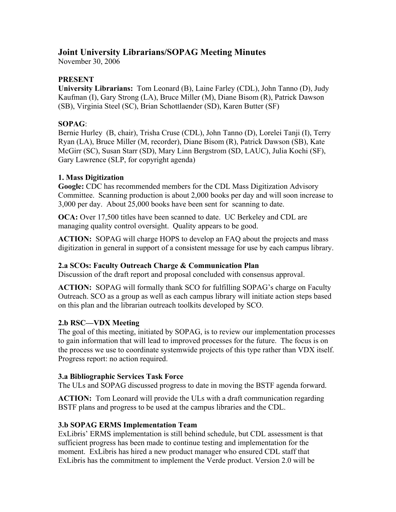# **Joint University Librarians/SOPAG Meeting Minutes**

November 30, 2006

## **PRESENT**

**University Librarians:** Tom Leonard (B), Laine Farley (CDL), John Tanno (D), Judy Kaufman (I), Gary Strong (LA), Bruce Miller (M), Diane Bisom (R), Patrick Dawson (SB), Virginia Steel (SC), Brian Schottlaender (SD), Karen Butter (SF)

## **SOPAG**:

Bernie Hurley (B, chair), Trisha Cruse (CDL), John Tanno (D), Lorelei Tanji (I), Terry Ryan (LA), Bruce Miller (M, recorder), Diane Bisom (R), Patrick Dawson (SB), Kate McGirr (SC), Susan Starr (SD), Mary Linn Bergstrom (SD, LAUC), Julia Kochi (SF), Gary Lawrence (SLP, for copyright agenda)

### **1. Mass Digitization**

**Google:** CDC has recommended members for the CDL Mass Digitization Advisory Committee. Scanning production is about 2,000 books per day and will soon increase to 3,000 per day. About 25,000 books have been sent for scanning to date.

**OCA:** Over 17,500 titles have been scanned to date. UC Berkeley and CDL are managing quality control oversight. Quality appears to be good.

**ACTION:** SOPAG will charge HOPS to develop an FAQ about the projects and mass digitization in general in support of a consistent message for use by each campus library.

### **2.a SCOs: Faculty Outreach Charge & Communication Plan**

Discussion of the draft report and proposal concluded with consensus approval.

**ACTION:** SOPAG will formally thank SCO for fulfilling SOPAG's charge on Faculty Outreach. SCO as a group as well as each campus library will initiate action steps based on this plan and the librarian outreach toolkits developed by SCO.

### **2.b RSC—VDX Meeting**

The goal of this meeting, initiated by SOPAG, is to review our implementation processes to gain information that will lead to improved processes for the future. The focus is on the process we use to coordinate systemwide projects of this type rather than VDX itself. Progress report: no action required.

### **3.a Bibliographic Services Task Force**

The ULs and SOPAG discussed progress to date in moving the BSTF agenda forward.

**ACTION:** Tom Leonard will provide the ULs with a draft communication regarding BSTF plans and progress to be used at the campus libraries and the CDL.

### **3.b SOPAG ERMS Implementation Team**

ExLibris' ERMS implementation is still behind schedule, but CDL assessment is that sufficient progress has been made to continue testing and implementation for the moment. ExLibris has hired a new product manager who ensured CDL staff that ExLibris has the commitment to implement the Verde product. Version 2.0 will be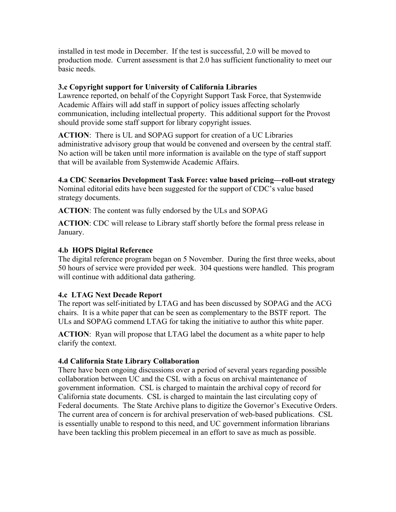installed in test mode in December. If the test is successful, 2.0 will be moved to production mode. Current assessment is that 2.0 has sufficient functionality to meet our basic needs.

#### **3.c Copyright support for University of California Libraries**

Lawrence reported, on behalf of the Copyright Support Task Force, that Systemwide Academic Affairs will add staff in support of policy issues affecting scholarly communication, including intellectual property. This additional support for the Provost should provide some staff support for library copyright issues.

**ACTION**: There is UL and SOPAG support for creation of a UC Libraries administrative advisory group that would be convened and overseen by the central staff. No action will be taken until more information is available on the type of staff support that will be available from Systemwide Academic Affairs.

**4.a CDC Scenarios Development Task Force: value based pricing—roll-out strategy**  Nominal editorial edits have been suggested for the support of CDC's value based strategy documents.

**ACTION**: The content was fully endorsed by the ULs and SOPAG

**ACTION**: CDC will release to Library staff shortly before the formal press release in January.

#### **4.b HOPS Digital Reference**

The digital reference program began on 5 November. During the first three weeks, about 50 hours of service were provided per week. 304 questions were handled. This program will continue with additional data gathering.

### **4.c LTAG Next Decade Report**

The report was self-initiated by LTAG and has been discussed by SOPAG and the ACG chairs. It is a white paper that can be seen as complementary to the BSTF report. The ULs and SOPAG commend LTAG for taking the initiative to author this white paper.

**ACTION**: Ryan will propose that LTAG label the document as a white paper to help clarify the context.

### **4.d California State Library Collaboration**

There have been ongoing discussions over a period of several years regarding possible collaboration between UC and the CSL with a focus on archival maintenance of government information. CSL is charged to maintain the archival copy of record for California state documents. CSL is charged to maintain the last circulating copy of Federal documents. The State Archive plans to digitize the Governor's Executive Orders. The current area of concern is for archival preservation of web-based publications. CSL is essentially unable to respond to this need, and UC government information librarians have been tackling this problem piecemeal in an effort to save as much as possible.